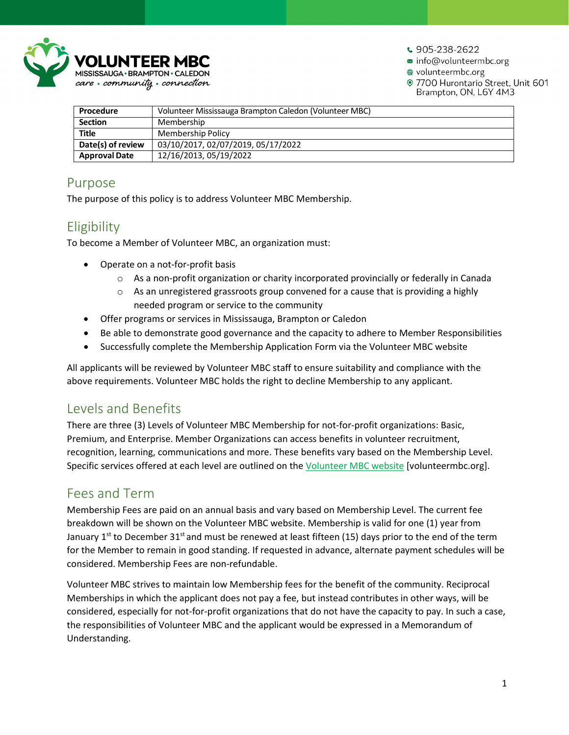

 $\cdot$  905-238-2622

info@volunteermbc.org

@ volunteermbc.org

· 7700 Hurontario Street, Unit 601 Brampton, ON, L6Y 4M3

| Procedure            | Volunteer Mississauga Brampton Caledon (Volunteer MBC) |
|----------------------|--------------------------------------------------------|
| <b>Section</b>       | Membership                                             |
| <b>Title</b>         | Membership Policy                                      |
| Date(s) of review    | 03/10/2017, 02/07/2019, 05/17/2022                     |
| <b>Approval Date</b> | 12/16/2013, 05/19/2022                                 |

### Purpose

The purpose of this policy is to address Volunteer MBC Membership.

# Eligibility

To become a Member of Volunteer MBC, an organization must:

- Operate on a not-for-profit basis
	- o As a non-profit organization or charity incorporated provincially or federally in Canada
	- $\circ$  As an unregistered grassroots group convened for a cause that is providing a highly needed program or service to the community
- Offer programs or services in Mississauga, Brampton or Caledon
- Be able to demonstrate good governance and the capacity to adhere to Member Responsibilities
- Successfully complete the Membership Application Form via the Volunteer MBC website

All applicants will be reviewed by Volunteer MBC staff to ensure suitability and compliance with the above requirements. Volunteer MBC holds the right to decline Membership to any applicant.

### Levels and Benefits

There are three (3) Levels of Volunteer MBC Membership for not-for-profit organizations: Basic, Premium, and Enterprise. Member Organizations can access benefits in volunteer recruitment, recognition, learning, communications and more. These benefits vary based on the Membership Level. Specific services offered at each level are outlined on the [Volunteer MBC website](https://volunteermbc.org/index.php?MenuItemID=229) [volunteermbc.org].

### Fees and Term

Membership Fees are paid on an annual basis and vary based on Membership Level. The current fee breakdown will be shown on the Volunteer MBC website. Membership is valid for one (1) year from January 1<sup>st</sup> to December 31<sup>st</sup> and must be renewed at least fifteen (15) days prior to the end of the term for the Member to remain in good standing. If requested in advance, alternate payment schedules will be considered. Membership Fees are non-refundable.

Volunteer MBC strives to maintain low Membership fees for the benefit of the community. Reciprocal Memberships in which the applicant does not pay a fee, but instead contributes in other ways, will be considered, especially for not-for-profit organizations that do not have the capacity to pay. In such a case, the responsibilities of Volunteer MBC and the applicant would be expressed in a Memorandum of Understanding.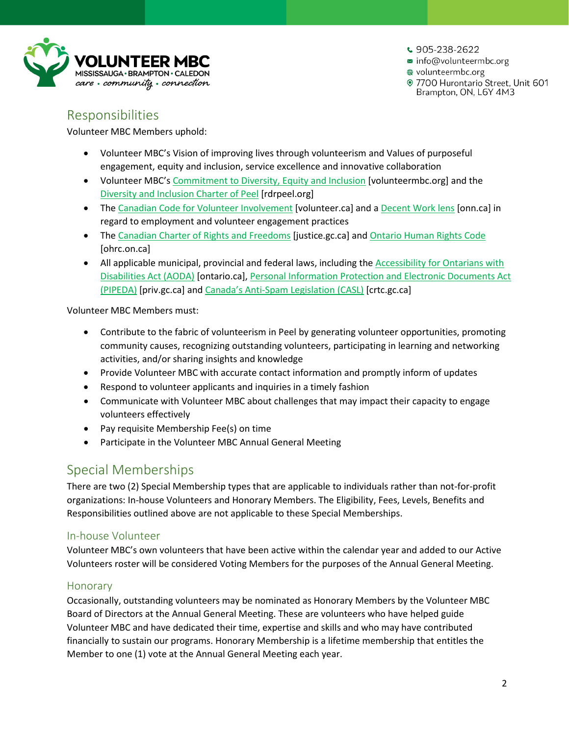

 $\cdot$  905-238-2622

info@volunteermbc.org

@ volunteermbc.org

· 7700 Hurontario Street, Unit 601 Brampton, ON, L6Y 4M3

### Responsibilities

Volunteer MBC Members uphold:

- Volunteer MBC's Vision of improving lives through volunteerism and Values of purposeful engagement, equity and inclusion, service excellence and innovative collaboration
- Volunteer MBC's [Commitment to Diversity, Equity and Inclusion](https://volunteermbc.org/index.php?MenuItemID=302) [volunteermbc.org] and the [Diversity and Inclusion Charter of Peel](https://www.rdrpeel.org/how-we-help/diversity-and-inclusion-charter/) [rdrpeel.org]
- The [Canadian Code for Volunteer Involvement](https://volunteer.ca/index.php?MenuItemID=346) [volunteer.ca] and a [Decent Work lens](https://nonprofitresources.ca/resource-library/volunteers-and-decent-work-whats-the-connection/) [onn.ca] in regard to employment and volunteer engagement practices
- The [Canadian Charter of Rights and Freedoms](https://www.justice.gc.ca/eng/csj-sjc/rfc-dlc/ccrf-ccdl/) [justice.gc.ca] and [Ontario Human Rights Code](https://www.ohrc.on.ca/en/ontario-human-rights-code) [ohrc.on.ca]
- All applicable municipal, provincial and federal laws, including the [Accessibility for Ontarians with](https://www.ontario.ca/laws/statute/05a11)  [Disabilities Act](https://www.ontario.ca/laws/statute/05a11) (AODA) [ontario.ca], [Personal Information Protection and Electronic Documents Act](https://www.priv.gc.ca/en/privacy-topics/privacy-laws-in-canada/the-personal-information-protection-and-electronic-documents-act-pipeda/)  [\(PIPEDA\)](https://www.priv.gc.ca/en/privacy-topics/privacy-laws-in-canada/the-personal-information-protection-and-electronic-documents-act-pipeda/) [priv.gc.ca] and [Canada's Anti-Spam Legislation \(CASL\)](https://crtc.gc.ca/eng/internet/anti.htm) [crtc.gc.ca]

Volunteer MBC Members must:

- Contribute to the fabric of volunteerism in Peel by generating volunteer opportunities, promoting community causes, recognizing outstanding volunteers, participating in learning and networking activities, and/or sharing insights and knowledge
- Provide Volunteer MBC with accurate contact information and promptly inform of updates
- Respond to volunteer applicants and inquiries in a timely fashion
- Communicate with Volunteer MBC about challenges that may impact their capacity to engage volunteers effectively
- Pay requisite Membership Fee(s) on time
- Participate in the Volunteer MBC Annual General Meeting

# Special Memberships

There are two (2) Special Membership types that are applicable to individuals rather than not-for-profit organizations: In-house Volunteers and Honorary Members. The Eligibility, Fees, Levels, Benefits and Responsibilities outlined above are not applicable to these Special Memberships.

#### In-house Volunteer

Volunteer MBC's own volunteers that have been active within the calendar year and added to our Active Volunteers roster will be considered Voting Members for the purposes of the Annual General Meeting.

#### Honorary

Occasionally, outstanding volunteers may be nominated as Honorary Members by the Volunteer MBC Board of Directors at the Annual General Meeting. These are volunteers who have helped guide Volunteer MBC and have dedicated their time, expertise and skills and who may have contributed financially to sustain our programs. Honorary Membership is a lifetime membership that entitles the Member to one (1) vote at the Annual General Meeting each year.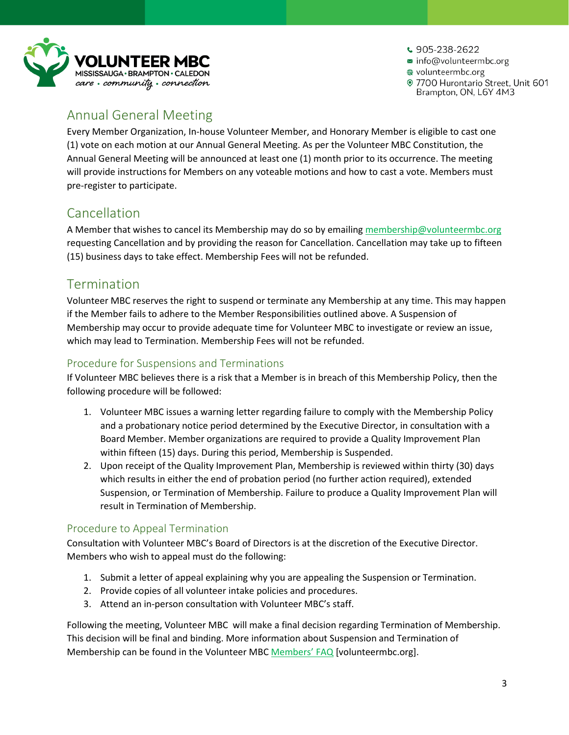

 $\cdot$  905-238-2622 info@volunteermbc.org @ volunteermbc.org · 7700 Hurontario Street, Unit 601 Brampton, ON, L6Y 4M3

# Annual General Meeting

Every Member Organization, In-house Volunteer Member, and Honorary Member is eligible to cast one (1) vote on each motion at our Annual General Meeting. As per the Volunteer MBC Constitution, the Annual General Meeting will be announced at least one (1) month prior to its occurrence. The meeting will provide instructions for Members on any voteable motions and how to cast a vote. Members must pre-register to participate.

# Cancellation

A Member that wishes to cancel its Membership may do so by emailing [membership@volunteermbc.org](mailto:membership@volunteermbc.org) requesting Cancellation and by providing the reason for Cancellation. Cancellation may take up to fifteen (15) business days to take effect. Membership Fees will not be refunded.

### Termination

Volunteer MBC reserves the right to suspend or terminate any Membership at any time. This may happen if the Member fails to adhere to the Member Responsibilities outlined above. A Suspension of Membership may occur to provide adequate time for Volunteer MBC to investigate or review an issue, which may lead to Termination. Membership Fees will not be refunded.

### Procedure for Suspensions and Terminations

If Volunteer MBC believes there is a risk that a Member is in breach of this Membership Policy, then the following procedure will be followed:

- 1. Volunteer MBC issues a warning letter regarding failure to comply with the Membership Policy and a probationary notice period determined by the Executive Director, in consultation with a Board Member. Member organizations are required to provide a Quality Improvement Plan within fifteen (15) days. During this period, Membership is Suspended.
- 2. Upon receipt of the Quality Improvement Plan, Membership is reviewed within thirty (30) days which results in either the end of probation period (no further action required), extended Suspension, or Termination of Membership. Failure to produce a Quality Improvement Plan will result in Termination of Membership.

### Procedure to Appeal Termination

Consultation with Volunteer MBC's Board of Directors is at the discretion of the Executive Director. Members who wish to appeal must do the following:

- 1. Submit a letter of appeal explaining why you are appealing the Suspension or Termination.
- 2. Provide copies of all volunteer intake policies and procedures.
- 3. Attend an in-person consultation with Volunteer MBC's staff.

Following the meeting, Volunteer MBC will make a final decision regarding Termination of Membership. This decision will be final and binding. More information about Suspension and Termination of Membership can be found in the Volunteer MB[C Members' FAQ](https://volunteermbc.org/index.php?MenuItemID=303) [volunteermbc.org].